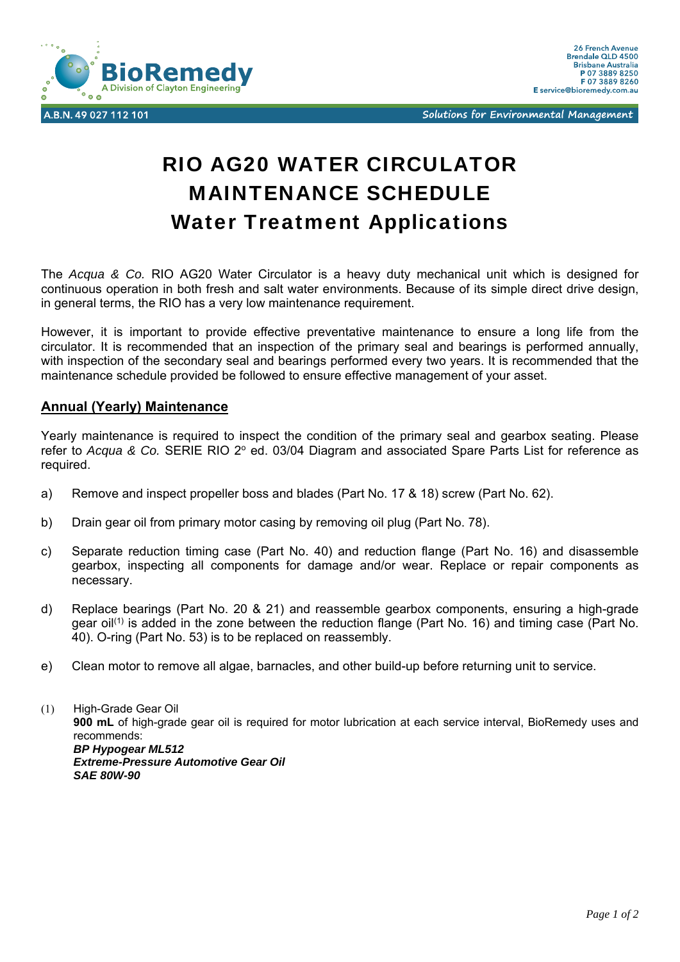

Solutions for Environmental Management

## RIO AG20 WATER CIRCULATOR MAINTENANCE SCHEDULE Water Treatment Applications

The *Acqua & Co.* RIO AG20 Water Circulator is a heavy duty mechanical unit which is designed for continuous operation in both fresh and salt water environments. Because of its simple direct drive design, in general terms, the RIO has a very low maintenance requirement.

However, it is important to provide effective preventative maintenance to ensure a long life from the circulator. It is recommended that an inspection of the primary seal and bearings is performed annually, with inspection of the secondary seal and bearings performed every two years. It is recommended that the maintenance schedule provided be followed to ensure effective management of your asset.

## **Annual (Yearly) Maintenance**

Yearly maintenance is required to inspect the condition of the primary seal and gearbox seating. Please refer to *Acqua & Co.* SERIE RIO 2° ed. 03/04 Diagram and associated Spare Parts List for reference as required.

- a) Remove and inspect propeller boss and blades (Part No. 17 & 18) screw (Part No. 62).
- b) Drain gear oil from primary motor casing by removing oil plug (Part No. 78).
- c) Separate reduction timing case (Part No. 40) and reduction flange (Part No. 16) and disassemble gearbox, inspecting all components for damage and/or wear. Replace or repair components as necessary.
- d) Replace bearings (Part No. 20 & 21) and reassemble gearbox components, ensuring a high-grade gear oil<sup>(1)</sup> is added in the zone between the reduction flange (Part No. 16) and timing case (Part No. 40). O-ring (Part No. 53) is to be replaced on reassembly.
- e) Clean motor to remove all algae, barnacles, and other build-up before returning unit to service.

(1) High-Grade Gear Oil **900 mL** of high-grade gear oil is required for motor lubrication at each service interval, BioRemedy uses and recommends: *BP Hypogear ML512 Extreme-Pressure Automotive Gear Oil SAE 80W-90*